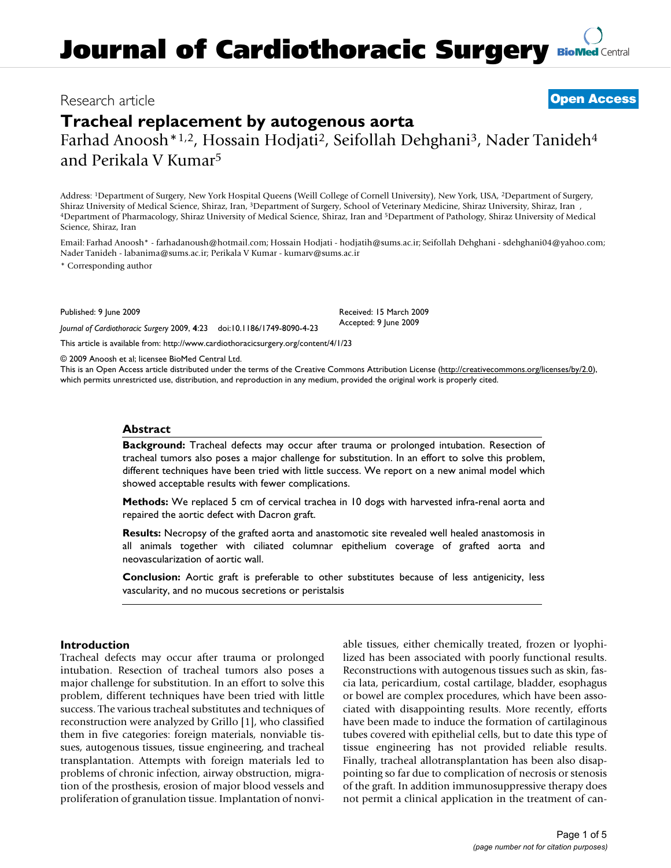## Research article **[Open Access](http://www.biomedcentral.com/info/about/charter/)**

# **Tracheal replacement by autogenous aorta**

Farhad Anoosh\*1,2, Hossain Hodjati2, Seifollah Dehghani3, Nader Tanideh4 and Perikala V Kumar5

Address: 1Department of Surgery, New York Hospital Queens (Weill College of Cornell University), New York, USA, 2Department of Surgery, Shiraz University of Medical Science, Shiraz, Iran, <sup>3</sup>Department of Surgery, School of Veterinary Medicine, Shiraz University, Shiraz, Iran ,<br><sup>4</sup>Department of Pharmacology, Shiraz University of Medical Science, Shiraz, Ir Science, Shiraz, Iran

Email: Farhad Anoosh\* - farhadanoush@hotmail.com; Hossain Hodjati - hodjatih@sums.ac.ir; Seifollah Dehghani - sdehghani04@yahoo.com; Nader Tanideh - labanima@sums.ac.ir; Perikala V Kumar - kumarv@sums.ac.ir

> Received: 15 March 2009 Accepted: 9 June 2009

\* Corresponding author

Published: 9 June 2009

*Journal of Cardiothoracic Surgery* 2009, **4**:23 doi:10.1186/1749-8090-4-23

[This article is available from: http://www.cardiothoracicsurgery.org/content/4/1/23](http://www.cardiothoracicsurgery.org/content/4/1/23)

© 2009 Anoosh et al; licensee BioMed Central Ltd.

This is an Open Access article distributed under the terms of the Creative Commons Attribution License [\(http://creativecommons.org/licenses/by/2.0\)](http://creativecommons.org/licenses/by/2.0), which permits unrestricted use, distribution, and reproduction in any medium, provided the original work is properly cited.

#### **Abstract**

**Background:** Tracheal defects may occur after trauma or prolonged intubation. Resection of tracheal tumors also poses a major challenge for substitution. In an effort to solve this problem, different techniques have been tried with little success. We report on a new animal model which showed acceptable results with fewer complications.

**Methods:** We replaced 5 cm of cervical trachea in 10 dogs with harvested infra-renal aorta and repaired the aortic defect with Dacron graft.

**Results:** Necropsy of the grafted aorta and anastomotic site revealed well healed anastomosis in all animals together with ciliated columnar epithelium coverage of grafted aorta and neovascularization of aortic wall.

**Conclusion:** Aortic graft is preferable to other substitutes because of less antigenicity, less vascularity, and no mucous secretions or peristalsis

#### **Introduction**

Tracheal defects may occur after trauma or prolonged intubation. Resection of tracheal tumors also poses a major challenge for substitution. In an effort to solve this problem, different techniques have been tried with little success. The various tracheal substitutes and techniques of reconstruction were analyzed by Grillo [\[1\]](#page-4-0), who classified them in five categories: foreign materials, nonviable tissues, autogenous tissues, tissue engineering, and tracheal transplantation. Attempts with foreign materials led to problems of chronic infection, airway obstruction, migration of the prosthesis, erosion of major blood vessels and proliferation of granulation tissue. Implantation of nonviable tissues, either chemically treated, frozen or lyophilized has been associated with poorly functional results. Reconstructions with autogenous tissues such as skin, fascia lata, pericardium, costal cartilage, bladder, esophagus or bowel are complex procedures, which have been associated with disappointing results. More recently, efforts have been made to induce the formation of cartilaginous tubes covered with epithelial cells, but to date this type of tissue engineering has not provided reliable results. Finally, tracheal allotransplantation has been also disappointing so far due to complication of necrosis or stenosis of the graft. In addition immunosuppressive therapy does not permit a clinical application in the treatment of can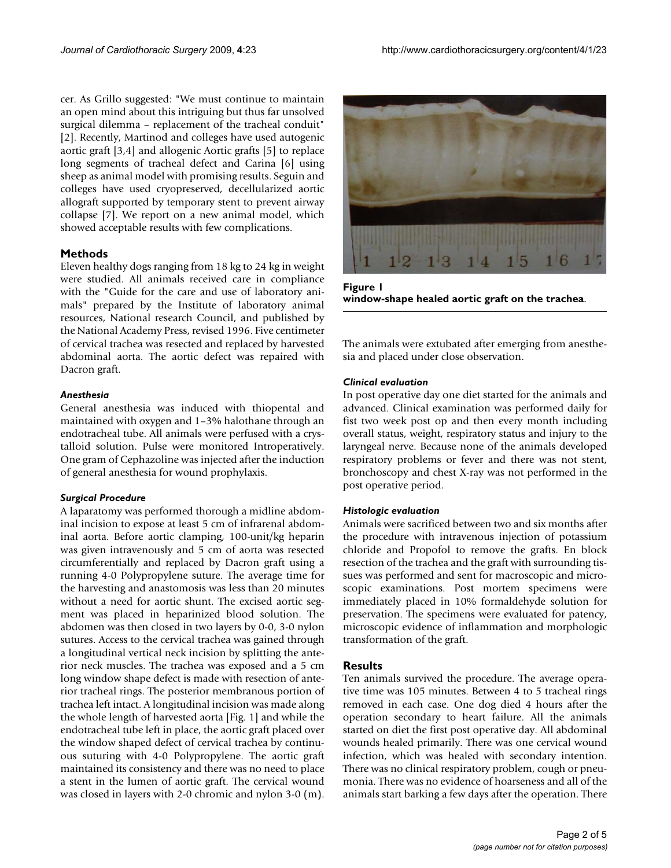cer. As Grillo suggested: "We must continue to maintain an open mind about this intriguing but thus far unsolved surgical dilemma – replacement of the tracheal conduit" [[2\]](#page-4-1). Recently, Martinod and colleges have used autogenic aortic graft [[3](#page-4-2),[4](#page-4-3)] and allogenic Aortic grafts [\[5\]](#page-4-4) to replace long segments of tracheal defect and Carina [[6](#page-4-5)] using sheep as animal model with promising results. Seguin and colleges have used cryopreserved, decellularized aortic allograft supported by temporary stent to prevent airway collapse [\[7\]](#page-4-6). We report on a new animal model, which showed acceptable results with few complications.

#### **Methods**

Eleven healthy dogs ranging from 18 kg to 24 kg in weight were studied. All animals received care in compliance with the "Guide for the care and use of laboratory animals" prepared by the Institute of laboratory animal resources, National research Council, and published by the National Academy Press, revised 1996. Five centimeter of cervical trachea was resected and replaced by harvested abdominal aorta. The aortic defect was repaired with Dacron graft.

#### *Anesthesia*

General anesthesia was induced with thiopental and maintained with oxygen and 1–3% halothane through an endotracheal tube. All animals were perfused with a crystalloid solution. Pulse were monitored Introperatively. One gram of Cephazoline was injected after the induction of general anesthesia for wound prophylaxis.

#### *Surgical Procedure*

A laparatomy was performed thorough a midline abdominal incision to expose at least 5 cm of infrarenal abdominal aorta. Before aortic clamping, 100-unit/kg heparin was given intravenously and 5 cm of aorta was resected circumferentially and replaced by Dacron graft using a running 4-0 Polypropylene suture. The average time for the harvesting and anastomosis was less than 20 minutes without a need for aortic shunt. The excised aortic segment was placed in heparinized blood solution. The abdomen was then closed in two layers by 0-0, 3-0 nylon sutures. Access to the cervical trachea was gained through a longitudinal vertical neck incision by splitting the anterior neck muscles. The trachea was exposed and a 5 cm long window shape defect is made with resection of anterior tracheal rings. The posterior membranous portion of trachea left intact. A longitudinal incision was made along the whole length of harvested aorta [Fig. [1\]](#page-1-0) and while the endotracheal tube left in place, the aortic graft placed over the window shaped defect of cervical trachea by continuous suturing with 4-0 Polypropylene. The aortic graft maintained its consistency and there was no need to place a stent in the lumen of aortic graft. The cervical wound was closed in layers with 2-0 chromic and nylon 3-0 (m).

<span id="page-1-0"></span>

**Figure 1 window-shape healed aortic graft on the trachea**.

The animals were extubated after emerging from anesthesia and placed under close observation.

#### *Clinical evaluation*

In post operative day one diet started for the animals and advanced. Clinical examination was performed daily for fist two week post op and then every month including overall status, weight, respiratory status and injury to the laryngeal nerve. Because none of the animals developed respiratory problems or fever and there was not stent, bronchoscopy and chest X-ray was not performed in the post operative period.

#### *Histologic evaluation*

Animals were sacrificed between two and six months after the procedure with intravenous injection of potassium chloride and Propofol to remove the grafts. En block resection of the trachea and the graft with surrounding tissues was performed and sent for macroscopic and microscopic examinations. Post mortem specimens were immediately placed in 10% formaldehyde solution for preservation. The specimens were evaluated for patency, microscopic evidence of inflammation and morphologic transformation of the graft.

#### **Results**

Ten animals survived the procedure. The average operative time was 105 minutes. Between 4 to 5 tracheal rings removed in each case. One dog died 4 hours after the operation secondary to heart failure. All the animals started on diet the first post operative day. All abdominal wounds healed primarily. There was one cervical wound infection, which was healed with secondary intention. There was no clinical respiratory problem, cough or pneumonia. There was no evidence of hoarseness and all of the animals start barking a few days after the operation. There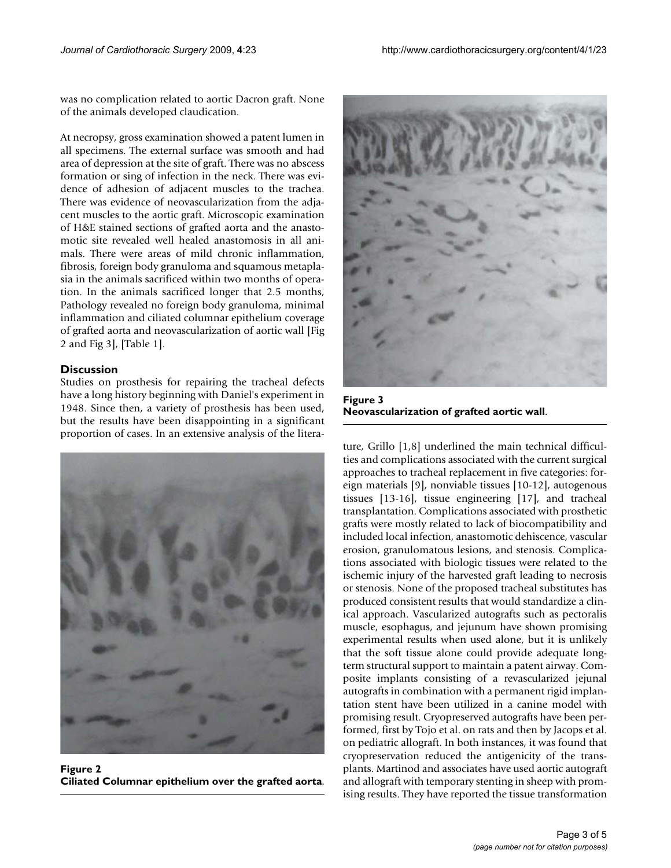was no complication related to aortic Dacron graft. None of the animals developed claudication.

At necropsy, gross examination showed a patent lumen in all specimens. The external surface was smooth and had area of depression at the site of graft. There was no abscess formation or sing of infection in the neck. There was evidence of adhesion of adjacent muscles to the trachea. There was evidence of neovascularization from the adjacent muscles to the aortic graft. Microscopic examination of H&E stained sections of grafted aorta and the anastomotic site revealed well healed anastomosis in all animals. There were areas of mild chronic inflammation, fibrosis, foreign body granuloma and squamous metaplasia in the animals sacrificed within two months of operation. In the animals sacrificed longer that 2.5 months, Pathology revealed no foreign body granuloma, minimal inflammation and ciliated columnar epithelium coverage of grafted aorta and neovascularization of aortic wall [Fig [2](#page-2-0) and Fig [3](#page-2-1)], [Table [1\]](#page-3-0).

### **Discussion**

Studies on prosthesis for repairing the tracheal defects have a long history beginning with Daniel's experiment in 1948. Since then, a variety of prosthesis has been used, but the results have been disappointing in a significant proportion of cases. In an extensive analysis of the litera-

<span id="page-2-0"></span>

Figure 2 **Ciliated Columnar epithelium over the grafted aorta**.

<span id="page-2-1"></span>

**Figure 3 Neovascularization of grafted aortic wall**.

ture, Grillo [\[1,](#page-4-0)[8\]](#page-4-7) underlined the main technical difficulties and complications associated with the current surgical approaches to tracheal replacement in five categories: foreign materials [[9\]](#page-4-8), nonviable tissues [[10-](#page-4-9)[12](#page-4-10)], autogenous tissues [\[13-](#page-4-11)[16\]](#page-4-12), tissue engineering [[17\]](#page-4-13), and tracheal transplantation. Complications associated with prosthetic grafts were mostly related to lack of biocompatibility and included local infection, anastomotic dehiscence, vascular erosion, granulomatous lesions, and stenosis. Complications associated with biologic tissues were related to the ischemic injury of the harvested graft leading to necrosis or stenosis. None of the proposed tracheal substitutes has produced consistent results that would standardize a clinical approach. Vascularized autografts such as pectoralis muscle, esophagus, and jejunum have shown promising experimental results when used alone, but it is unlikely that the soft tissue alone could provide adequate longterm structural support to maintain a patent airway. Composite implants consisting of a revascularized jejunal autografts in combination with a permanent rigid implantation stent have been utilized in a canine model with promising result. Cryopreserved autografts have been performed, first by Tojo et al. on rats and then by Jacops et al. on pediatric allograft. In both instances, it was found that cryopreservation reduced the antigenicity of the transplants. Martinod and associates have used aortic autograft and allograft with temporary stenting in sheep with promising results. They have reported the tissue transformation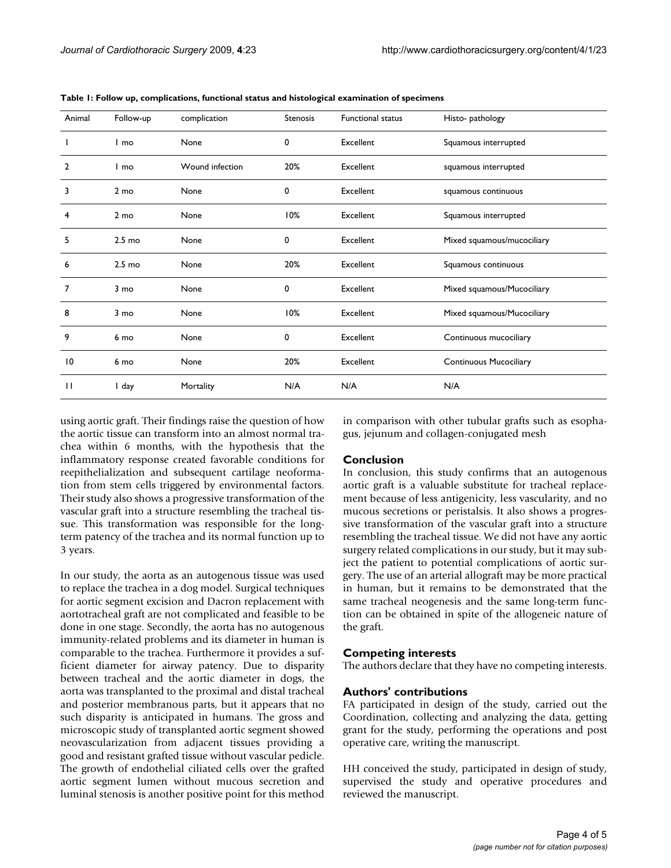| Animal          | Follow-up         | complication    | <b>Stenosis</b> | Functional status | Histo-pathology               |
|-----------------|-------------------|-----------------|-----------------|-------------------|-------------------------------|
|                 | I mo              | None            | 0               | Excellent         | Squamous interrupted          |
| 2               | 1 mo              | Wound infection | 20%             | Excellent         | squamous interrupted          |
| 3               | 2 <sub>mo</sub>   | None            | 0               | Excellent         | squamous continuous           |
| 4               | 2 <sub>mo</sub>   | None            | 10%             | Excellent         | Squamous interrupted          |
| 5               | $2.5 \text{ mo}$  | None            | 0               | Excellent         | Mixed squamous/mucociliary    |
| 6               | 2.5 <sub>mo</sub> | None            | 20%             | Excellent         | Squamous continuous           |
| 7               | 3 <sub>mo</sub>   | None            | 0               | Excellent         | Mixed squamous/Mucociliary    |
| 8               | 3 <sub>mo</sub>   | None            | 10%             | Excellent         | Mixed squamous/Mucociliary    |
| 9               | 6 mo              | None            | 0               | Excellent         | Continuous mucociliary        |
| $\overline{10}$ | 6 mo              | None            | 20%             | Excellent         | <b>Continuous Mucociliary</b> |
| $\mathbf{H}$    | I day             | Mortality       | N/A             | N/A               | N/A                           |

<span id="page-3-0"></span>**Table 1: Follow up, complications, functional status and histological examination of specimens**

using aortic graft. Their findings raise the question of how the aortic tissue can transform into an almost normal trachea within 6 months, with the hypothesis that the inflammatory response created favorable conditions for reepithelialization and subsequent cartilage neoformation from stem cells triggered by environmental factors. Their study also shows a progressive transformation of the vascular graft into a structure resembling the tracheal tissue. This transformation was responsible for the longterm patency of the trachea and its normal function up to 3 years.

In our study, the aorta as an autogenous tissue was used to replace the trachea in a dog model. Surgical techniques for aortic segment excision and Dacron replacement with aortotracheal graft are not complicated and feasible to be done in one stage. Secondly, the aorta has no autogenous immunity-related problems and its diameter in human is comparable to the trachea. Furthermore it provides a sufficient diameter for airway patency. Due to disparity between tracheal and the aortic diameter in dogs, the aorta was transplanted to the proximal and distal tracheal and posterior membranous parts, but it appears that no such disparity is anticipated in humans. The gross and microscopic study of transplanted aortic segment showed neovascularization from adjacent tissues providing a good and resistant grafted tissue without vascular pedicle. The growth of endothelial ciliated cells over the grafted aortic segment lumen without mucous secretion and luminal stenosis is another positive point for this method in comparison with other tubular grafts such as esophagus, jejunum and collagen-conjugated mesh

#### **Conclusion**

In conclusion, this study confirms that an autogenous aortic graft is a valuable substitute for tracheal replacement because of less antigenicity, less vascularity, and no mucous secretions or peristalsis. It also shows a progressive transformation of the vascular graft into a structure resembling the tracheal tissue. We did not have any aortic surgery related complications in our study, but it may subject the patient to potential complications of aortic surgery. The use of an arterial allograft may be more practical in human, but it remains to be demonstrated that the same tracheal neogenesis and the same long-term function can be obtained in spite of the allogeneic nature of the graft.

#### **Competing interests**

The authors declare that they have no competing interests.

#### **Authors' contributions**

FA participated in design of the study, carried out the Coordination, collecting and analyzing the data, getting grant for the study, performing the operations and post operative care, writing the manuscript.

HH conceived the study, participated in design of study, supervised the study and operative procedures and reviewed the manuscript.